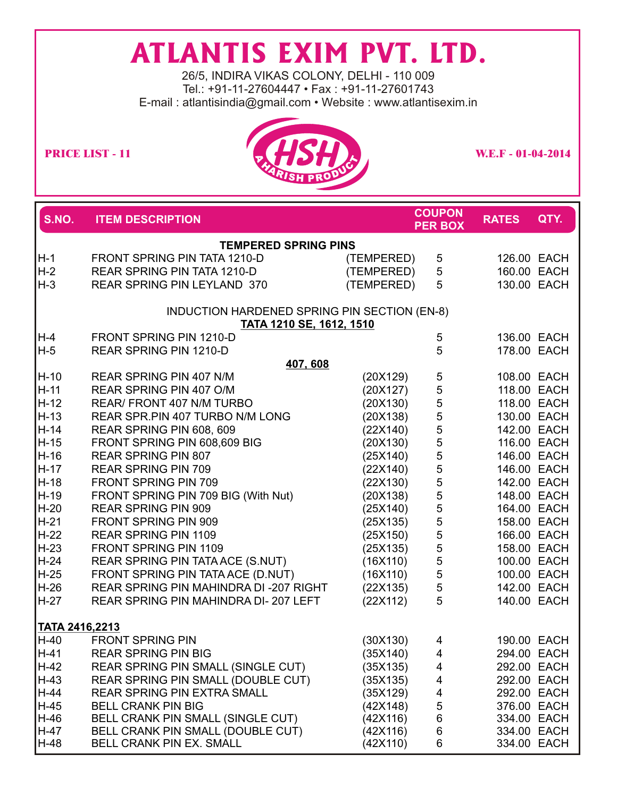## **ATLANTIS EXIM PVT. LTD.**

26/5, INDIRA VIKAS COLONY, DELHI - 110 009 Tel.: +91-11-27604447 • Fax : +91-11-27601743 E-mail : atlantisindia@gmail.com • Website : www.atlantisexim.in



| S.NO.          | <b>ITEM DESCRIPTION</b>                      |            | <b>COUPON</b><br><b>PER BOX</b> | <b>RATES</b> | QTY.        |  |
|----------------|----------------------------------------------|------------|---------------------------------|--------------|-------------|--|
|                | <b>TEMPERED SPRING PINS</b>                  |            |                                 |              |             |  |
| $H-1$          | FRONT SPRING PIN TATA 1210-D                 | (TEMPERED) | 5                               |              | 126.00 EACH |  |
| $H-2$          | REAR SPRING PIN TATA 1210-D                  | (TEMPERED) | 5                               |              | 160.00 EACH |  |
| $H-3$          | REAR SPRING PIN LEYLAND 370                  | (TEMPERED) | 5                               |              | 130.00 EACH |  |
|                | INDUCTION HARDENED SPRING PIN SECTION (EN-8) |            |                                 |              |             |  |
|                | TATA 1210 SE, 1612, 1510                     |            |                                 |              |             |  |
| $H-4$          | FRONT SPRING PIN 1210-D                      |            | 5                               |              | 136.00 EACH |  |
| $H-5$          | <b>REAR SPRING PIN 1210-D</b><br>407,608     |            | 5                               |              | 178.00 EACH |  |
| $H-10$         | <b>REAR SPRING PIN 407 N/M</b>               | (20X129)   | 5                               |              | 108.00 EACH |  |
| $H-11$         | REAR SPRING PIN 407 O/M                      | (20X127)   |                                 |              | 118.00 EACH |  |
| H-12           | <b>REAR/ FRONT 407 N/M TURBO</b>             | (20X130)   |                                 |              | 118.00 EACH |  |
| H-13           | REAR SPR.PIN 407 TURBO N/M LONG              | (20X138)   |                                 |              | 130.00 EACH |  |
| H-14           | REAR SPRING PIN 608, 609                     | (22X140)   |                                 |              | 142.00 EACH |  |
| H-15           | FRONT SPRING PIN 608,609 BIG                 | (20X130)   |                                 |              | 116.00 EACH |  |
| H-16           | <b>REAR SPRING PIN 807</b>                   | (25X140)   |                                 |              | 146.00 EACH |  |
| H-17           | <b>REAR SPRING PIN 709</b>                   | (22X140)   |                                 |              | 146.00 EACH |  |
| H-18           | FRONT SPRING PIN 709                         | (22X130)   | 5555555555555555                |              | 142.00 EACH |  |
| H-19           | FRONT SPRING PIN 709 BIG (With Nut)          | (20X138)   |                                 |              | 148.00 EACH |  |
| H-20           | <b>REAR SPRING PIN 909</b>                   | (25X140)   |                                 |              | 164.00 EACH |  |
| H-21           | FRONT SPRING PIN 909                         | (25X135)   |                                 |              | 158.00 EACH |  |
| $H-22$         | <b>REAR SPRING PIN 1109</b>                  | (25X150)   |                                 |              | 166.00 EACH |  |
| H-23           | FRONT SPRING PIN 1109                        | (25X135)   |                                 |              | 158.00 EACH |  |
| H-24           | REAR SPRING PIN TATA ACE (S.NUT)             | (16X110)   |                                 |              | 100.00 EACH |  |
| H-25           | FRONT SPRING PIN TATA ACE (D.NUT)            | (16X110)   |                                 |              | 100.00 EACH |  |
| H-26           | REAR SPRING PIN MAHINDRA DI -207 RIGHT       | (22X135)   | 5                               |              | 142.00 EACH |  |
| $H-27$         | REAR SPRING PIN MAHINDRA DI-207 LEFT         | (22X112)   | 5                               |              | 140.00 EACH |  |
| TATA 2416,2213 |                                              |            |                                 |              |             |  |
| H-40           | <b>FRONT SPRING PIN</b>                      | (30X130)   | 4                               |              | 190.00 EACH |  |
| H-41           | <b>REAR SPRING PIN BIG</b>                   | (35X140)   | $\overline{4}$                  |              | 294.00 EACH |  |
| $H-42$         | REAR SPRING PIN SMALL (SINGLE CUT)           | (35X135)   | 4                               |              | 292.00 EACH |  |
| $H-43$         | REAR SPRING PIN SMALL (DOUBLE CUT)           | (35X135)   | 4                               |              | 292.00 EACH |  |
| $H-44$         | <b>REAR SPRING PIN EXTRA SMALL</b>           | (35X129)   | 4                               |              | 292.00 EACH |  |
| $H-45$         | <b>BELL CRANK PIN BIG</b>                    | (42X148)   | 5                               |              | 376.00 EACH |  |
| $H-46$         | BELL CRANK PIN SMALL (SINGLE CUT)            | (42X116)   | 6                               |              | 334.00 EACH |  |
| H-47           | BELL CRANK PIN SMALL (DOUBLE CUT)            | (42X116)   | 6                               |              | 334.00 EACH |  |
| H-48           | <b>BELL CRANK PIN EX. SMALL</b>              | (42X110)   | 6                               |              | 334.00 EACH |  |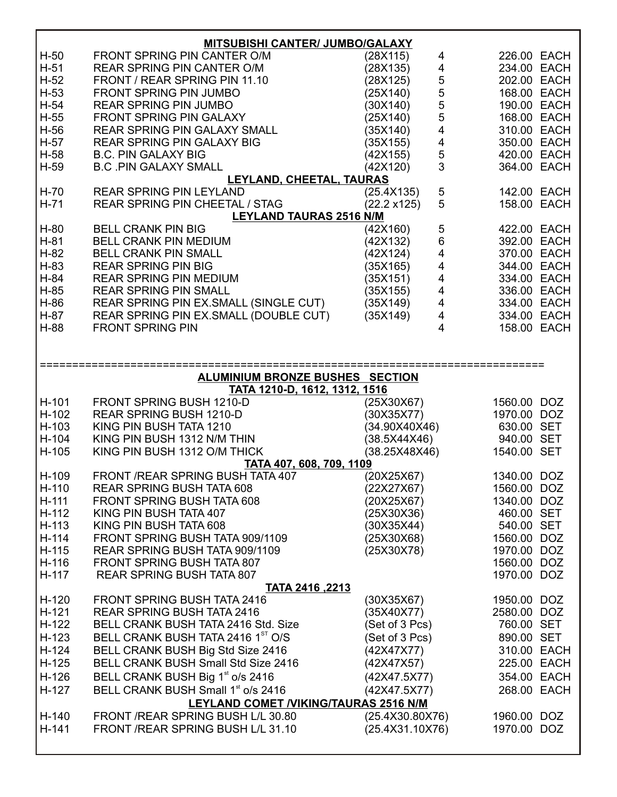| <b>MITSUBISHI CANTER/ JUMBO/GALAXY</b> |                                                |                                                        |             |  |  |
|----------------------------------------|------------------------------------------------|--------------------------------------------------------|-------------|--|--|
| H-50                                   | FRONT SPRING PIN CANTER O/M                    | (28X115)<br>4                                          | 226.00 EACH |  |  |
| $H-51$                                 | <b>REAR SPRING PIN CANTER O/M</b>              | 4<br>(28X135)                                          | 234.00 EACH |  |  |
| $H-52$                                 | FRONT / REAR SPRING PIN 11.10                  | (28X125)                                               | 202.00 EACH |  |  |
| $H-53$                                 | <b>FRONT SPRING PIN JUMBO</b>                  | 55555<br>(25X140)                                      | 168.00 EACH |  |  |
| $H-54$                                 | <b>REAR SPRING PIN JUMBO</b>                   | (30X140)                                               | 190.00 EACH |  |  |
| H-55                                   | <b>FRONT SPRING PIN GALAXY</b>                 | (25X140)                                               | 168.00 EACH |  |  |
| H-56                                   | <b>REAR SPRING PIN GALAXY SMALL</b>            | $\overline{4}$<br>(35X140)                             | 310.00 EACH |  |  |
| H-57                                   | <b>REAR SPRING PIN GALAXY BIG</b>              | (35X155)                                               | 350.00 EACH |  |  |
| H-58                                   | <b>B.C. PIN GALAXY BIG</b>                     | $\begin{array}{c} 4 \\ 5 \\ 3 \end{array}$<br>(42X155) | 420.00 EACH |  |  |
| H-59                                   | <b>B.C. PIN GALAXY SMALL</b>                   | (42X120)                                               | 364.00 EACH |  |  |
|                                        | LEYLAND, CHEETAL, TAURAS                       |                                                        |             |  |  |
| H-70                                   | <b>REAR SPRING PIN LEYLAND</b>                 | 5<br>(25.4X135)                                        | 142.00 EACH |  |  |
| H-71                                   | REAR SPRING PIN CHEETAL / STAG                 | 5<br>(22.2 x125)                                       | 158.00 EACH |  |  |
|                                        | <b>LEYLAND TAURAS 2516 N/M</b>                 |                                                        |             |  |  |
| H-80                                   | <b>BELL CRANK PIN BIG</b>                      | 5<br>(42X160)                                          | 422.00 EACH |  |  |
| $H-81$                                 | <b>BELL CRANK PIN MEDIUM</b>                   | 6<br>(42X132)                                          | 392.00 EACH |  |  |
| H-82                                   | <b>BELL CRANK PIN SMALL</b>                    | $\overline{\mathbf{4}}$<br>(42X124)                    | 370.00 EACH |  |  |
| H-83                                   | <b>REAR SPRING PIN BIG</b>                     | $\overline{\mathbf{4}}$<br>(35X165)                    | 344.00 EACH |  |  |
| H-84                                   | <b>REAR SPRING PIN MEDIUM</b>                  | $\frac{4}{4}$<br>(35X151)                              | 334.00 EACH |  |  |
| H-85                                   | <b>REAR SPRING PIN SMALL</b>                   | (35X155)                                               | 336.00 EACH |  |  |
| H-86                                   | REAR SPRING PIN EX.SMALL (SINGLE CUT)          | $\overline{4}$<br>(35X149)                             | 334.00 EACH |  |  |
| H-87                                   | REAR SPRING PIN EX.SMALL (DOUBLE CUT)          | $\overline{4}$<br>(35X149)                             | 334.00 EACH |  |  |
| H-88                                   | <b>FRONT SPRING PIN</b>                        | 4                                                      | 158.00 EACH |  |  |
|                                        |                                                |                                                        |             |  |  |
|                                        |                                                |                                                        |             |  |  |
|                                        |                                                |                                                        |             |  |  |
|                                        | <b>ALUMINIUM BRONZE BUSHES SECTION</b>         |                                                        |             |  |  |
|                                        |                                                |                                                        |             |  |  |
|                                        | TATA 1210-D, 1612, 1312, 1516                  |                                                        |             |  |  |
| H-101                                  | FRONT SPRING BUSH 1210-D                       | (25X30X67)                                             | 1560.00 DOZ |  |  |
| H-102                                  | <b>REAR SPRING BUSH 1210-D</b>                 | (30X35X77)                                             | 1970.00 DOZ |  |  |
| H-103                                  | KING PIN BUSH TATA 1210                        | (34.90X40X46)                                          | 630.00 SET  |  |  |
| H-104                                  | KING PIN BUSH 1312 N/M THIN                    | (38.5X44X46)                                           | 940.00 SET  |  |  |
| H-105                                  | KING PIN BUSH 1312 O/M THICK                   | (38.25X48X46)                                          | 1540.00 SET |  |  |
|                                        | TATA 407, 608, 709, 1109                       |                                                        |             |  |  |
| H-109                                  | FRONT / REAR SPRING BUSH TATA 407              | (20X25X67)                                             | 1340.00 DOZ |  |  |
| $H-110$                                | <b>REAR SPRING BUSH TATA 608</b>               | (22X27X67)                                             | 1560.00 DOZ |  |  |
| $H-111$                                | <b>FRONT SPRING BUSH TATA 608</b>              | (20X25X67)                                             | 1340.00 DOZ |  |  |
| H-112                                  | KING PIN BUSH TATA 407                         | (25X30X36)                                             | 460.00 SET  |  |  |
| H-113                                  | KING PIN BUSH TATA 608                         | (30X35X44)                                             | 540.00 SET  |  |  |
| H-114                                  | FRONT SPRING BUSH TATA 909/1109                | (25X30X68)                                             | 1560.00 DOZ |  |  |
| H-115                                  | REAR SPRING BUSH TATA 909/1109                 | (25X30X78)                                             | 1970.00 DOZ |  |  |
| H-116                                  | FRONT SPRING BUSH TATA 807                     |                                                        | 1560.00 DOZ |  |  |
| H-117                                  | <b>REAR SPRING BUSH TATA 807</b>               |                                                        | 1970.00 DOZ |  |  |
|                                        | <b>TATA 2416, 2213</b>                         |                                                        |             |  |  |
| $H-120$                                | <b>FRONT SPRING BUSH TATA 2416</b>             | (30X35X67)                                             | 1950.00 DOZ |  |  |
| $H-121$                                | <b>REAR SPRING BUSH TATA 2416</b>              | (35X40X77)                                             | 2580.00 DOZ |  |  |
| H-122                                  | BELL CRANK BUSH TATA 2416 Std. Size            | (Set of 3 Pcs)                                         | 760.00 SET  |  |  |
| H-123                                  | BELL CRANK BUSH TATA 2416 1ST O/S              | (Set of 3 Pcs)                                         | 890.00 SET  |  |  |
| H-124                                  | BELL CRANK BUSH Big Std Size 2416              | (42X47X77)                                             | 310.00 EACH |  |  |
| $H-125$                                | BELL CRANK BUSH Small Std Size 2416            | (42X47X57)                                             | 225.00 EACH |  |  |
| $H-126$                                | BELL CRANK BUSH Big 1 <sup>st</sup> o/s 2416   | (42X47.5X77)                                           | 354.00 EACH |  |  |
| $H-127$                                | BELL CRANK BUSH Small 1 <sup>st</sup> o/s 2416 | (42X47.5X77)                                           | 268.00 EACH |  |  |
|                                        | LEYLAND COMET /VIKING/TAURAS 2516 N/M          |                                                        |             |  |  |
| H-140                                  | FRONT /REAR SPRING BUSH L/L 30.80              | (25.4X30.80X76)                                        | 1960.00 DOZ |  |  |
| H-141                                  | FRONT /REAR SPRING BUSH L/L 31.10              | (25.4X31.10X76)                                        | 1970.00 DOZ |  |  |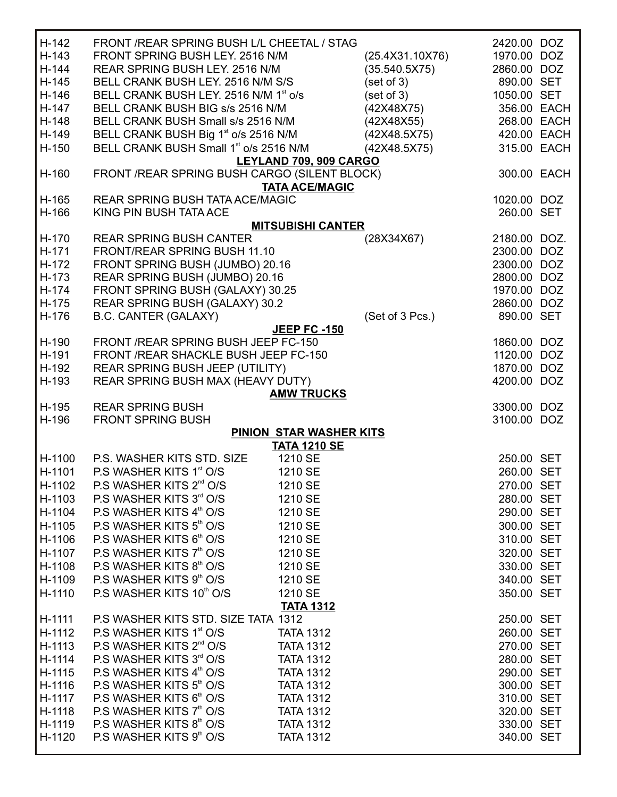| $H-142$<br>H-143<br>H-144<br>H-145<br>H-146<br>H-147<br>H-148<br>H-149<br>H-150<br>H-160 | FRONT / REAR SPRING BUSH L/L CHEETAL / STAG<br>FRONT SPRING BUSH LEY. 2516 N/M<br><b>REAR SPRING BUSH LEY, 2516 N/M</b><br>BELL CRANK BUSH LEY. 2516 N/M S/S<br>BELL CRANK BUSH LEY. 2516 N/M 1 <sup>st</sup> o/s<br>BELL CRANK BUSH BIG s/s 2516 N/M<br>BELL CRANK BUSH Small s/s 2516 N/M<br>BELL CRANK BUSH Big 1 <sup>st</sup> o/s 2516 N/M<br>BELL CRANK BUSH Small 1 <sup>st</sup> o/s 2516 N/M<br>FRONT /REAR SPRING BUSH CARGO (SILENT BLOCK) | LEYLAND 709, 909 CARGO                         | (25.4X31.10X76)<br>(35.540.5X75)<br>(set of 3)<br>(set of 3)<br>(42X48X75)<br>(42X48X55)<br>(42X48.5X75)<br>(42X48.5X75) | 2420.00 DOZ<br>1970.00 DOZ<br>2860.00 DOZ<br>890.00 SET<br>1050.00 SET<br>356.00 EACH<br>268.00 EACH<br>420.00 EACH<br>315.00 EACH<br>300.00 EACH |  |
|------------------------------------------------------------------------------------------|-------------------------------------------------------------------------------------------------------------------------------------------------------------------------------------------------------------------------------------------------------------------------------------------------------------------------------------------------------------------------------------------------------------------------------------------------------|------------------------------------------------|--------------------------------------------------------------------------------------------------------------------------|---------------------------------------------------------------------------------------------------------------------------------------------------|--|
|                                                                                          |                                                                                                                                                                                                                                                                                                                                                                                                                                                       | <b>TATA ACE/MAGIC</b>                          |                                                                                                                          |                                                                                                                                                   |  |
| H-165                                                                                    | <b>REAR SPRING BUSH TATA ACE/MAGIC</b>                                                                                                                                                                                                                                                                                                                                                                                                                |                                                |                                                                                                                          | 1020.00 DOZ                                                                                                                                       |  |
| H-166                                                                                    | KING PIN BUSH TATA ACE                                                                                                                                                                                                                                                                                                                                                                                                                                |                                                |                                                                                                                          | 260.00 SET                                                                                                                                        |  |
|                                                                                          |                                                                                                                                                                                                                                                                                                                                                                                                                                                       | <b>MITSUBISHI CANTER</b>                       |                                                                                                                          |                                                                                                                                                   |  |
| H-170<br>H-171                                                                           | <b>REAR SPRING BUSH CANTER</b><br>FRONT/REAR SPRING BUSH 11.10                                                                                                                                                                                                                                                                                                                                                                                        |                                                | (28X34X67)                                                                                                               | 2180.00 DOZ.<br>2300.00 DOZ                                                                                                                       |  |
| H-172                                                                                    | FRONT SPRING BUSH (JUMBO) 20.16                                                                                                                                                                                                                                                                                                                                                                                                                       |                                                |                                                                                                                          | 2300.00 DOZ                                                                                                                                       |  |
| H-173                                                                                    | REAR SPRING BUSH (JUMBO) 20.16                                                                                                                                                                                                                                                                                                                                                                                                                        |                                                |                                                                                                                          | 2800.00 DOZ                                                                                                                                       |  |
| H-174                                                                                    | FRONT SPRING BUSH (GALAXY) 30.25                                                                                                                                                                                                                                                                                                                                                                                                                      |                                                |                                                                                                                          | 1970.00 DOZ                                                                                                                                       |  |
| H-175                                                                                    | REAR SPRING BUSH (GALAXY) 30.2                                                                                                                                                                                                                                                                                                                                                                                                                        |                                                |                                                                                                                          | 2860.00 DOZ                                                                                                                                       |  |
| H-176                                                                                    | <b>B.C. CANTER (GALAXY)</b>                                                                                                                                                                                                                                                                                                                                                                                                                           |                                                | (Set of 3 Pcs.)                                                                                                          | 890.00 SET                                                                                                                                        |  |
|                                                                                          |                                                                                                                                                                                                                                                                                                                                                                                                                                                       | <b>JEEP FC -150</b>                            |                                                                                                                          |                                                                                                                                                   |  |
| H-190                                                                                    | FRONT / REAR SPRING BUSH JEEP FC-150                                                                                                                                                                                                                                                                                                                                                                                                                  |                                                |                                                                                                                          | 1860.00 DOZ                                                                                                                                       |  |
| H-191                                                                                    | FRONT /REAR SHACKLE BUSH JEEP FC-150                                                                                                                                                                                                                                                                                                                                                                                                                  |                                                |                                                                                                                          | 1120.00 DOZ                                                                                                                                       |  |
| H-192                                                                                    | REAR SPRING BUSH JEEP (UTILITY)                                                                                                                                                                                                                                                                                                                                                                                                                       |                                                |                                                                                                                          | 1870.00 DOZ                                                                                                                                       |  |
| H-193                                                                                    | REAR SPRING BUSH MAX (HEAVY DUTY)                                                                                                                                                                                                                                                                                                                                                                                                                     |                                                |                                                                                                                          | 4200.00 DOZ                                                                                                                                       |  |
|                                                                                          |                                                                                                                                                                                                                                                                                                                                                                                                                                                       | <b>AMW TRUCKS</b>                              |                                                                                                                          |                                                                                                                                                   |  |
| H-195                                                                                    | <b>REAR SPRING BUSH</b>                                                                                                                                                                                                                                                                                                                                                                                                                               |                                                |                                                                                                                          | 3300.00 DOZ                                                                                                                                       |  |
| H-196                                                                                    | <b>FRONT SPRING BUSH</b>                                                                                                                                                                                                                                                                                                                                                                                                                              |                                                |                                                                                                                          | 3100.00 DOZ                                                                                                                                       |  |
|                                                                                          |                                                                                                                                                                                                                                                                                                                                                                                                                                                       | PINION STAR WASHER KITS<br><b>TATA 1210 SE</b> |                                                                                                                          |                                                                                                                                                   |  |
| H-1100                                                                                   | P.S. WASHER KITS STD. SIZE                                                                                                                                                                                                                                                                                                                                                                                                                            | 1210 SE                                        |                                                                                                                          | 250.00 SET                                                                                                                                        |  |
| H-1101                                                                                   | P.S WASHER KITS 1 <sup>st</sup> O/S                                                                                                                                                                                                                                                                                                                                                                                                                   | 1210 SE                                        |                                                                                                                          | 260.00 SET                                                                                                                                        |  |
| H-1102                                                                                   | P.S WASHER KITS 2 <sup>nd</sup> O/S                                                                                                                                                                                                                                                                                                                                                                                                                   | 1210 SE                                        |                                                                                                                          | 270.00 SET                                                                                                                                        |  |
| H-1103                                                                                   | P.S WASHER KITS 3rd O/S                                                                                                                                                                                                                                                                                                                                                                                                                               | 1210 SE                                        |                                                                                                                          | 280.00 SET                                                                                                                                        |  |
| H-1104                                                                                   | P.S WASHER KITS 4th O/S                                                                                                                                                                                                                                                                                                                                                                                                                               | 1210 SE                                        |                                                                                                                          | 290.00 SET                                                                                                                                        |  |
| H-1105                                                                                   | P.S WASHER KITS 5th O/S                                                                                                                                                                                                                                                                                                                                                                                                                               | 1210 SE                                        |                                                                                                                          | 300.00 SET                                                                                                                                        |  |
| H-1106                                                                                   | P.S WASHER KITS 6th O/S                                                                                                                                                                                                                                                                                                                                                                                                                               | 1210 SE                                        |                                                                                                                          | 310.00 SET                                                                                                                                        |  |
| H-1107                                                                                   | P.S WASHER KITS 7th O/S                                                                                                                                                                                                                                                                                                                                                                                                                               | 1210 SE                                        |                                                                                                                          | 320.00 SET                                                                                                                                        |  |
| H-1108                                                                                   | P.S WASHER KITS 8th O/S                                                                                                                                                                                                                                                                                                                                                                                                                               | 1210 SE                                        |                                                                                                                          | 330.00 SET                                                                                                                                        |  |
| H-1109                                                                                   | P.S WASHER KITS 9th O/S                                                                                                                                                                                                                                                                                                                                                                                                                               | 1210 SE                                        |                                                                                                                          | 340.00 SET                                                                                                                                        |  |
| H-1110                                                                                   | P.S WASHER KITS 10 <sup>th</sup> O/S                                                                                                                                                                                                                                                                                                                                                                                                                  | 1210 SE                                        |                                                                                                                          | 350.00 SET                                                                                                                                        |  |
|                                                                                          |                                                                                                                                                                                                                                                                                                                                                                                                                                                       | <b>TATA 1312</b>                               |                                                                                                                          |                                                                                                                                                   |  |
| H-1111                                                                                   | P.S WASHER KITS STD. SIZE TATA 1312                                                                                                                                                                                                                                                                                                                                                                                                                   |                                                |                                                                                                                          | 250.00 SET                                                                                                                                        |  |
| H-1112                                                                                   | P.S WASHER KITS 1 <sup>st</sup> O/S                                                                                                                                                                                                                                                                                                                                                                                                                   | <b>TATA 1312</b>                               |                                                                                                                          | 260.00 SET                                                                                                                                        |  |
| H-1113                                                                                   | P.S WASHER KITS 2 <sup>nd</sup> O/S                                                                                                                                                                                                                                                                                                                                                                                                                   | <b>TATA 1312</b>                               |                                                                                                                          | 270.00 SET                                                                                                                                        |  |
| H-1114                                                                                   | P.S WASHER KITS 3rd O/S                                                                                                                                                                                                                                                                                                                                                                                                                               | <b>TATA 1312</b>                               |                                                                                                                          | 280.00 SET                                                                                                                                        |  |
| H-1115                                                                                   | P.S WASHER KITS 4th O/S                                                                                                                                                                                                                                                                                                                                                                                                                               | <b>TATA 1312</b>                               |                                                                                                                          | 290.00 SET                                                                                                                                        |  |
| H-1116                                                                                   | P.S WASHER KITS 5th O/S                                                                                                                                                                                                                                                                                                                                                                                                                               | <b>TATA 1312</b>                               |                                                                                                                          | 300.00 SET                                                                                                                                        |  |
| H-1117                                                                                   | P.S WASHER KITS 6th O/S                                                                                                                                                                                                                                                                                                                                                                                                                               | <b>TATA 1312</b>                               |                                                                                                                          | 310.00 SET                                                                                                                                        |  |
| H-1118                                                                                   | P.S WASHER KITS 7 <sup>th</sup> O/S                                                                                                                                                                                                                                                                                                                                                                                                                   | <b>TATA 1312</b>                               |                                                                                                                          | 320.00 SET                                                                                                                                        |  |
| H-1119                                                                                   | P.S WASHER KITS 8th O/S                                                                                                                                                                                                                                                                                                                                                                                                                               | <b>TATA 1312</b>                               |                                                                                                                          | 330.00 SET                                                                                                                                        |  |
| H-1120                                                                                   | P.S WASHER KITS 9th O/S                                                                                                                                                                                                                                                                                                                                                                                                                               | <b>TATA 1312</b>                               |                                                                                                                          | 340.00 SET                                                                                                                                        |  |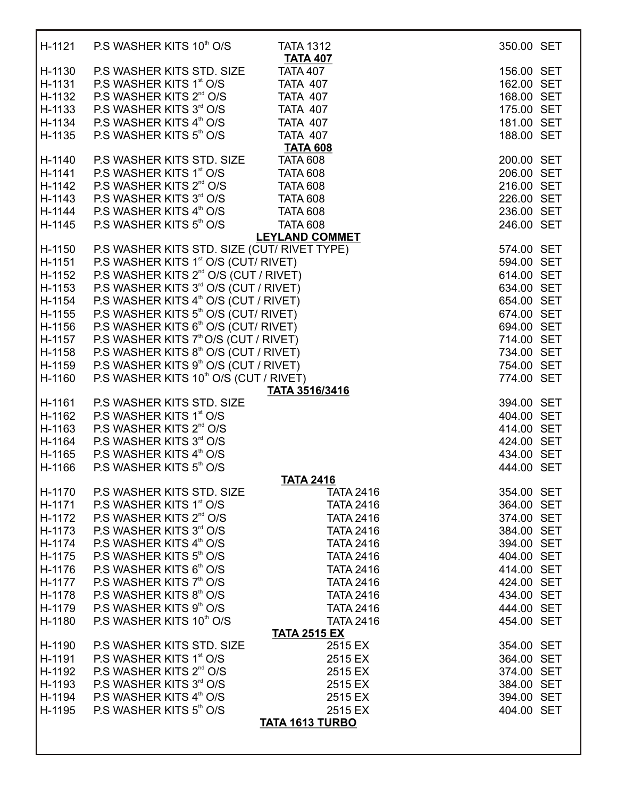| H-1121 | P.S WASHER KITS 10 <sup>th</sup> O/S               | <b>TATA 1312</b>                   | 350.00 SET |  |
|--------|----------------------------------------------------|------------------------------------|------------|--|
|        |                                                    | <b>TATA 407</b>                    |            |  |
| H-1130 | P.S WASHER KITS STD. SIZE                          | <b>TATA 407</b>                    | 156.00 SET |  |
| H-1131 | P.S WASHER KITS 1 <sup>st</sup> O/S                | <b>TATA 407</b>                    | 162.00 SET |  |
| H-1132 | P.S WASHER KITS 2 <sup>nd</sup> O/S                | <b>TATA 407</b>                    | 168.00 SET |  |
| H-1133 | P.S WASHER KITS 3rd O/S                            | <b>TATA 407</b>                    | 175.00 SET |  |
| H-1134 | P.S WASHER KITS 4 <sup>th</sup> O/S                | <b>TATA 407</b>                    | 181.00 SET |  |
| H-1135 | P.S WASHER KITS 5th O/S                            | <b>TATA 407</b><br><b>TATA 608</b> | 188.00 SET |  |
| H-1140 | P.S WASHER KITS STD. SIZE                          | <b>TATA 608</b>                    | 200.00 SET |  |
| H-1141 | P.S WASHER KITS 1 <sup>st</sup> O/S                | <b>TATA 608</b>                    | 206.00 SET |  |
| H-1142 | P.S WASHER KITS 2 <sup>nd</sup> O/S                | <b>TATA 608</b>                    | 216.00 SET |  |
| H-1143 | P.S WASHER KITS 3rd O/S                            | <b>TATA 608</b>                    | 226.00 SET |  |
| H-1144 | P.S WASHER KITS 4 <sup>th</sup> O/S                | <b>TATA 608</b>                    | 236.00 SET |  |
| H-1145 | P.S WASHER KITS 5th O/S                            | <b>TATA 608</b>                    | 246.00 SET |  |
|        |                                                    | <b>LEYLAND COMMET</b>              |            |  |
| H-1150 | P.S WASHER KITS STD. SIZE (CUT/ RIVET TYPE)        |                                    | 574.00 SET |  |
| H-1151 | P.S WASHER KITS 1 <sup>st</sup> O/S (CUT/ RIVET)   |                                    | 594.00 SET |  |
| H-1152 | P.S WASHER KITS 2 <sup>nd</sup> O/S (CUT / RIVET)  |                                    | 614.00 SET |  |
| H-1153 | P.S WASHER KITS 3 <sup>rd</sup> O/S (CUT / RIVET)  |                                    | 634.00 SET |  |
| H-1154 | P.S WASHER KITS 4 <sup>th</sup> O/S (CUT / RIVET)  |                                    | 654.00 SET |  |
| H-1155 | P.S WASHER KITS 5 <sup>th</sup> O/S (CUT/ RIVET)   |                                    | 674.00 SET |  |
| H-1156 | P.S WASHER KITS 6 <sup>th</sup> O/S (CUT/ RIVET)   |                                    | 694.00 SET |  |
| H-1157 | P.S WASHER KITS 7 <sup>th</sup> O/S (CUT / RIVET)  |                                    | 714.00 SET |  |
| H-1158 | P.S WASHER KITS 8 <sup>th</sup> O/S (CUT / RIVET)  |                                    | 734.00 SET |  |
| H-1159 | P.S WASHER KITS 9 <sup>th</sup> O/S (CUT / RIVET)  |                                    | 754.00 SET |  |
| H-1160 | P.S WASHER KITS 10 <sup>th</sup> O/S (CUT / RIVET) |                                    | 774.00 SET |  |
| H-1161 | P.S WASHER KITS STD. SIZE                          | TATA 3516/3416                     | 394.00 SET |  |
| H-1162 | P.S WASHER KITS 1st O/S                            |                                    | 404.00 SET |  |
| H-1163 | P.S WASHER KITS 2 <sup>nd</sup> O/S                |                                    | 414.00 SET |  |
| H-1164 | P.S WASHER KITS 3rd O/S                            |                                    | 424.00 SET |  |
| H-1165 | P.S WASHER KITS 4 <sup>th</sup> O/S                |                                    | 434.00 SET |  |
| H-1166 | P.S WASHER KITS 5th O/S                            |                                    | 444.00 SET |  |
|        |                                                    | <b>TATA 2416</b>                   |            |  |
| H-1170 | P.S WASHER KITS STD. SIZE                          | <b>TATA 2416</b>                   | 354.00 SET |  |
| H-1171 | P.S WASHER KITS 1 <sup>st</sup> O/S                | <b>TATA 2416</b>                   | 364.00 SET |  |
| H-1172 | P.S WASHER KITS 2 <sup>nd</sup> O/S                | <b>TATA 2416</b>                   | 374.00 SET |  |
| H-1173 | P.S WASHER KITS 3rd O/S                            | <b>TATA 2416</b>                   | 384.00 SET |  |
| H-1174 | P.S WASHER KITS 4th O/S                            | <b>TATA 2416</b>                   | 394.00 SET |  |
| H-1175 | P.S WASHER KITS 5th O/S                            | <b>TATA 2416</b>                   | 404.00 SET |  |
| H-1176 | P.S WASHER KITS 6th O/S                            | <b>TATA 2416</b>                   | 414.00 SET |  |
| H-1177 | P.S WASHER KITS 7th O/S                            | <b>TATA 2416</b>                   | 424.00 SET |  |
| H-1178 | P.S WASHER KITS 8th O/S                            | <b>TATA 2416</b>                   | 434.00 SET |  |
| H-1179 | P.S WASHER KITS 9th O/S                            | <b>TATA 2416</b>                   | 444.00 SET |  |
| H-1180 | P.S WASHER KITS 10th O/S                           | <b>TATA 2416</b>                   | 454.00 SET |  |
| H-1190 | P.S WASHER KITS STD. SIZE                          | <b>TATA 2515 EX</b><br>2515 EX     | 354.00 SET |  |
| H-1191 | P.S WASHER KITS 1 <sup>st</sup> O/S                | 2515 EX                            | 364.00 SET |  |
| H-1192 | P.S WASHER KITS 2 <sup>nd</sup> O/S                | 2515 EX                            | 374.00 SET |  |
| H-1193 | P.S WASHER KITS 3 <sup>rd</sup> O/S                | 2515 EX                            | 384.00 SET |  |
| H-1194 | P.S WASHER KITS 4 <sup>th</sup> O/S                | 2515 EX                            | 394.00 SET |  |
| H-1195 | P.S WASHER KITS 5th O/S                            | 2515 EX                            | 404.00 SET |  |
|        |                                                    | <b>TATA 1613 TURBO</b>             |            |  |
|        |                                                    |                                    |            |  |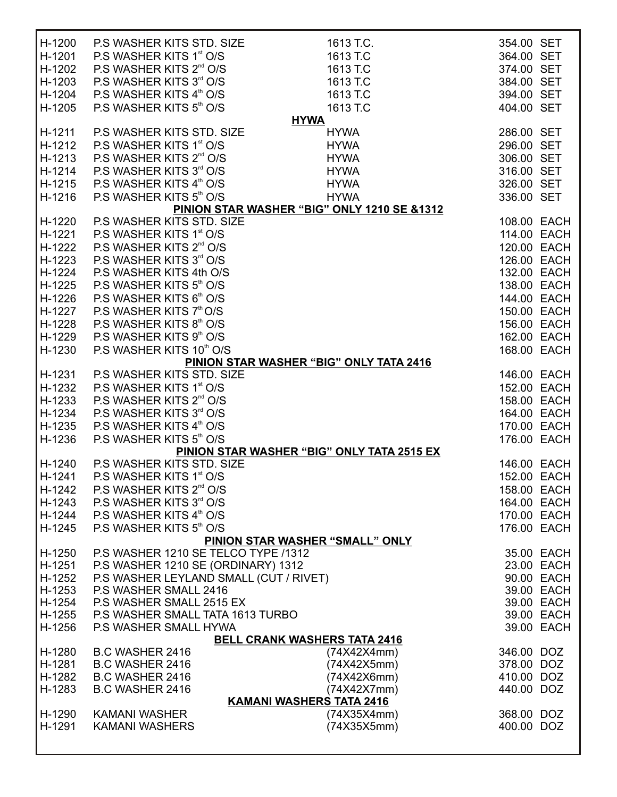| H-1200 | P.S WASHER KITS STD. SIZE              | 1613 T.C.                                   | 354.00 SET  |             |
|--------|----------------------------------------|---------------------------------------------|-------------|-------------|
| H-1201 | P.S WASHER KITS 1st O/S                | 1613 T.C                                    | 364.00 SET  |             |
| H-1202 | P.S WASHER KITS 2 <sup>nd</sup> O/S    | 1613 T.C                                    | 374.00 SET  |             |
| H-1203 | P.S WASHER KITS 3rd O/S                | 1613 T.C                                    | 384.00 SET  |             |
| H-1204 | P.S WASHER KITS 4th O/S                | 1613 T.C                                    | 394.00 SET  |             |
| H-1205 | P.S WASHER KITS 5th O/S                | 1613 T.C                                    | 404.00 SET  |             |
| H-1211 | P.S WASHER KITS STD. SIZE              | <b>HYWA</b><br><b>HYWA</b>                  | 286.00 SET  |             |
| H-1212 | P.S WASHER KITS 1 <sup>st</sup> O/S    | <b>HYWA</b>                                 | 296.00 SET  |             |
| H-1213 | P.S WASHER KITS 2 <sup>nd</sup> O/S    | <b>HYWA</b>                                 | 306.00 SET  |             |
| H-1214 | P.S WASHER KITS 3rd O/S                | <b>HYWA</b>                                 | 316.00 SET  |             |
| H-1215 | P.S WASHER KITS 4 <sup>th</sup> O/S    | <b>HYWA</b>                                 | 326.00 SET  |             |
| H-1216 | P.S WASHER KITS 5th O/S                | <b>HYWA</b>                                 | 336.00 SET  |             |
|        |                                        | PINION STAR WASHER "BIG" ONLY 1210 SE &1312 |             |             |
| H-1220 | P.S WASHER KITS STD. SIZE              |                                             | 108.00 EACH |             |
| H-1221 | P.S WASHER KITS 1 <sup>st</sup> O/S    |                                             | 114.00 EACH |             |
| H-1222 | P.S WASHER KITS 2 <sup>nd</sup> O/S    |                                             | 120.00 EACH |             |
| H-1223 | P.S WASHER KITS 3rd O/S                |                                             | 126.00 EACH |             |
| H-1224 | P.S WASHER KITS 4th O/S                |                                             | 132.00 EACH |             |
| H-1225 | P.S WASHER KITS 5th O/S                |                                             | 138.00 EACH |             |
| H-1226 | P.S WASHER KITS 6th O/S                |                                             | 144.00 EACH |             |
| H-1227 | P.S WASHER KITS 7 <sup>th</sup> O/S    |                                             | 150.00 EACH |             |
| H-1228 | P.S WASHER KITS 8th O/S                |                                             | 156.00 EACH |             |
| H-1229 | P.S WASHER KITS 9th O/S                |                                             | 162.00 EACH |             |
| H-1230 | P.S WASHER KITS 10th O/S               |                                             | 168.00 EACH |             |
|        |                                        | PINION STAR WASHER "BIG" ONLY TATA 2416     |             |             |
| H-1231 | P.S WASHER KITS STD. SIZE              |                                             | 146.00 EACH |             |
| H-1232 | P.S WASHER KITS 1 <sup>st</sup> O/S    |                                             | 152.00 EACH |             |
| H-1233 | P.S WASHER KITS 2 <sup>nd</sup> O/S    |                                             | 158.00 EACH |             |
| H-1234 | P.S WASHER KITS 3 <sup>rd</sup> O/S    |                                             | 164.00 EACH |             |
| H-1235 | P.S WASHER KITS 4 <sup>th</sup> O/S    |                                             | 170.00 EACH |             |
| H-1236 | P.S WASHER KITS 5th O/S                |                                             | 176.00 EACH |             |
|        |                                        | PINION STAR WASHER "BIG" ONLY TATA 2515 EX  |             |             |
| H-1240 | P.S WASHER KITS STD. SIZE              |                                             | 146.00 EACH |             |
| H-1241 | P.S WASHER KITS 1 <sup>st</sup> O/S    |                                             | 152.00 EACH |             |
| H-1242 | P.S WASHER KITS 2 <sup>nd</sup> O/S    |                                             |             | 158.00 EACH |
| H-1243 | P.S WASHER KITS 3rd O/S                |                                             |             | 164.00 EACH |
| H-1244 | P.S WASHER KITS 4 <sup>th</sup> O/S    |                                             |             | 170.00 EACH |
| H-1245 | P.S WASHER KITS 5th O/S                |                                             |             | 176.00 EACH |
|        |                                        | PINION STAR WASHER "SMALL" ONLY             |             |             |
| H-1250 | P.S WASHER 1210 SE TELCO TYPE /1312    |                                             |             | 35.00 EACH  |
| H-1251 | P.S WASHER 1210 SE (ORDINARY) 1312     |                                             |             | 23.00 EACH  |
| H-1252 | P.S WASHER LEYLAND SMALL (CUT / RIVET) |                                             |             | 90.00 EACH  |
| H-1253 | P.S WASHER SMALL 2416                  |                                             |             | 39.00 EACH  |
| H-1254 | P.S WASHER SMALL 2515 EX               |                                             |             | 39.00 EACH  |
| H-1255 | P.S WASHER SMALL TATA 1613 TURBO       |                                             |             | 39.00 EACH  |
| H-1256 | P.S WASHER SMALL HYWA                  | <b>BELL CRANK WASHERS TATA 2416</b>         |             | 39.00 EACH  |
| H-1280 | <b>B.C WASHER 2416</b>                 | (74X42X4mm)                                 | 346.00 DOZ  |             |
| H-1281 | <b>B.C WASHER 2416</b>                 | (74X42X5mm)                                 | 378.00 DOZ  |             |
| H-1282 | <b>B.C WASHER 2416</b>                 | (74X42X6mm)                                 | 410.00 DOZ  |             |
| H-1283 | <b>B.C WASHER 2416</b>                 | (74X42X7mm)                                 | 440.00 DOZ  |             |
|        |                                        | <b>KAMANI WASHERS TATA 2416</b>             |             |             |
| H-1290 | <b>KAMANI WASHER</b>                   | (74X35X4mm)                                 | 368.00 DOZ  |             |
| H-1291 | <b>KAMANI WASHERS</b>                  | (74X35X5mm)                                 | 400.00 DOZ  |             |
|        |                                        |                                             |             |             |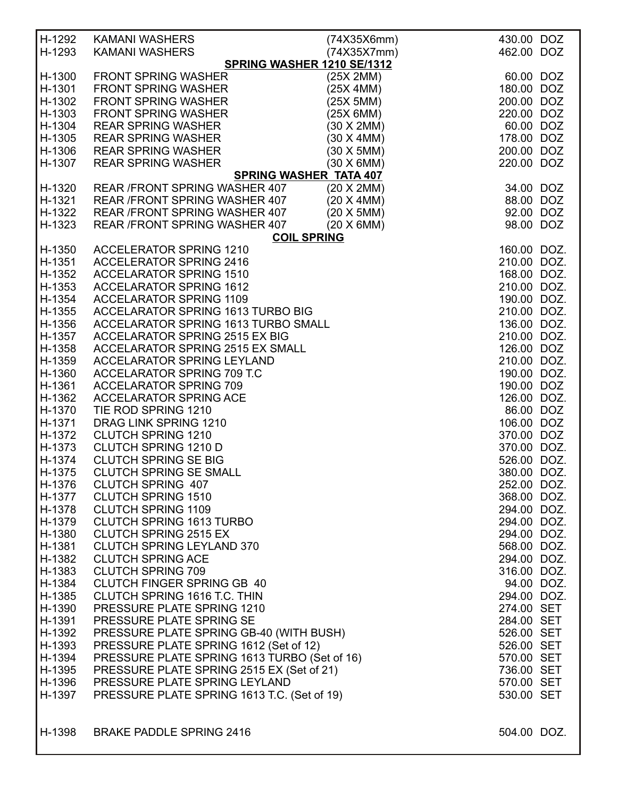| H-1292<br>H-1293 | <b>KAMANI WASHERS</b><br><b>KAMANI WASHERS</b>     | (74X35X6mm)<br>(74X35X7mm) | 430.00 DOZ<br>462.00 DOZ |  |  |
|------------------|----------------------------------------------------|----------------------------|--------------------------|--|--|
|                  | SPRING WASHER 1210 SE/1312                         |                            |                          |  |  |
| H-1300           | <b>FRONT SPRING WASHER</b>                         | (25X 2MM)                  | 60.00 DOZ                |  |  |
| H-1301           | <b>FRONT SPRING WASHER</b>                         | (25X 4MM)                  | 180.00 DOZ               |  |  |
| H-1302           | <b>FRONT SPRING WASHER</b>                         | (25X 5MM)                  | 200.00 DOZ               |  |  |
| H-1303           | <b>FRONT SPRING WASHER</b>                         | (25X 6MM)                  | 220.00 DOZ               |  |  |
| H-1304           | <b>REAR SPRING WASHER</b>                          | (30 X 2MM)                 | 60.00 DOZ                |  |  |
| H-1305           | <b>REAR SPRING WASHER</b>                          | (30 X 4MM)                 | 178.00 DOZ               |  |  |
| H-1306           | <b>REAR SPRING WASHER</b>                          | (30 X 5MM)                 | 200.00 DOZ               |  |  |
|                  |                                                    |                            |                          |  |  |
| H-1307           | <b>REAR SPRING WASHER</b>                          | $(30 \times 6$ MM $)$      | 220.00 DOZ               |  |  |
|                  | <b>SPRING WASHER TATA 407</b>                      |                            |                          |  |  |
| H-1320           | REAR /FRONT SPRING WASHER 407                      | (20 X 2MM)                 | 34.00 DOZ                |  |  |
| H-1321           | REAR /FRONT SPRING WASHER 407                      | (20 X 4MM)                 | 88.00 DOZ                |  |  |
| H-1322           | REAR / FRONT SPRING WASHER 407                     | (20 X 5MM)                 | 92.00 DOZ                |  |  |
| H-1323           | REAR / FRONT SPRING WASHER 407                     | $(20 \times 6$ MM $)$      | 98.00 DOZ                |  |  |
|                  | <b>COIL SPRING</b>                                 |                            |                          |  |  |
| H-1350           | <b>ACCELERATOR SPRING 1210</b>                     |                            | 160.00 DOZ.              |  |  |
| H-1351           | <b>ACCELERATOR SPRING 2416</b>                     |                            | 210.00 DOZ.              |  |  |
| H-1352           | <b>ACCELARATOR SPRING 1510</b>                     |                            | 168.00 DOZ.              |  |  |
| H-1353           | <b>ACCELARATOR SPRING 1612</b>                     |                            | 210.00 DOZ.              |  |  |
| H-1354           | <b>ACCELARATOR SPRING 1109</b>                     |                            | 190.00 DOZ.              |  |  |
| H-1355           | ACCELARATOR SPRING 1613 TURBO BIG                  |                            | 210.00 DOZ.              |  |  |
| H-1356           | ACCELARATOR SPRING 1613 TURBO SMALL                |                            | 136.00 DOZ.              |  |  |
|                  |                                                    |                            | 210.00 DOZ.              |  |  |
| H-1357           | <b>ACCELARATOR SPRING 2515 EX BIG</b>              |                            |                          |  |  |
| H-1358           | ACCELARATOR SPRING 2515 EX SMALL                   |                            | 126.00 DOZ               |  |  |
| H-1359           | <b>ACCELARATOR SPRING LEYLAND</b>                  |                            | 210.00 DOZ.              |  |  |
| H-1360           | ACCELARATOR SPRING 709 T.C                         |                            | 190.00 DOZ.              |  |  |
| H-1361           | <b>ACCELARATOR SPRING 709</b>                      |                            | 190.00 DOZ               |  |  |
| H-1362           | <b>ACCELARATOR SPRING ACE</b>                      |                            | 126.00 DOZ.              |  |  |
| H-1370           | TIE ROD SPRING 1210                                |                            | 86.00 DOZ                |  |  |
| H-1371           | <b>DRAG LINK SPRING 1210</b>                       |                            | 106.00 DOZ               |  |  |
| H-1372           | <b>CLUTCH SPRING 1210</b>                          |                            | 370.00 DOZ               |  |  |
| H-1373           | <b>CLUTCH SPRING 1210 D</b>                        |                            | 370.00 DOZ.              |  |  |
| H-1374           | <b>CLUTCH SPRING SE BIG</b>                        |                            | 526.00 DOZ.              |  |  |
| H-1375           | <b>CLUTCH SPRING SE SMALL</b>                      |                            | 380.00 DOZ.              |  |  |
|                  | H-1376 CLUTCH SPRING 407                           |                            | 252.00 DOZ.              |  |  |
|                  | H-1377 CLUTCH SPRING 1510                          |                            | 368.00 DOZ.              |  |  |
|                  | H-1378 CLUTCH SPRING 1109                          |                            | 294.00 DOZ.              |  |  |
|                  | H-1379 CLUTCH SPRING 1613 TURBO                    |                            | 294.00 DOZ.              |  |  |
|                  | H-1380 CLUTCH SPRING 2515 EX                       |                            | 294.00 DOZ.              |  |  |
|                  |                                                    |                            |                          |  |  |
|                  | H-1381 CLUTCH SPRING LEYLAND 370                   |                            | 568.00 DOZ.              |  |  |
|                  | H-1382 CLUTCH SPRING ACE                           |                            | 294.00 DOZ.              |  |  |
|                  | H-1383 CLUTCH SPRING 709                           |                            | 316.00 DOZ.              |  |  |
|                  | H-1384 CLUTCH FINGER SPRING GB 40                  |                            | 94.00 DOZ.               |  |  |
|                  | H-1385 CLUTCH SPRING 1616 T.C. THIN                |                            | 294.00 DOZ.              |  |  |
|                  | H-1390 PRESSURE PLATE SPRING 1210                  |                            | 274.00 SET               |  |  |
|                  | H-1391 PRESSURE PLATE SPRING SE                    |                            | 284.00 SET               |  |  |
| H-1392           | PRESSURE PLATE SPRING GB-40 (WITH BUSH)            |                            | 526.00 SET               |  |  |
| H-1393           | PRESSURE PLATE SPRING 1612 (Set of 12)             |                            | 526.00 SET               |  |  |
| H-1394           | PRESSURE PLATE SPRING 1613 TURBO (Set of 16)       |                            | 570.00 SET               |  |  |
| H-1395           | PRESSURE PLATE SPRING 2515 EX (Set of 21)          |                            | 736.00 SET               |  |  |
|                  | H-1396 PRESSURE PLATE SPRING LEYLAND               |                            | 570.00 SET               |  |  |
|                  | H-1397 PRESSURE PLATE SPRING 1613 T.C. (Set of 19) |                            | 530.00 SET               |  |  |
|                  |                                                    |                            |                          |  |  |
|                  |                                                    |                            |                          |  |  |
| H-1398           | <b>BRAKE PADDLE SPRING 2416</b>                    |                            | 504.00 DOZ.              |  |  |
|                  |                                                    |                            |                          |  |  |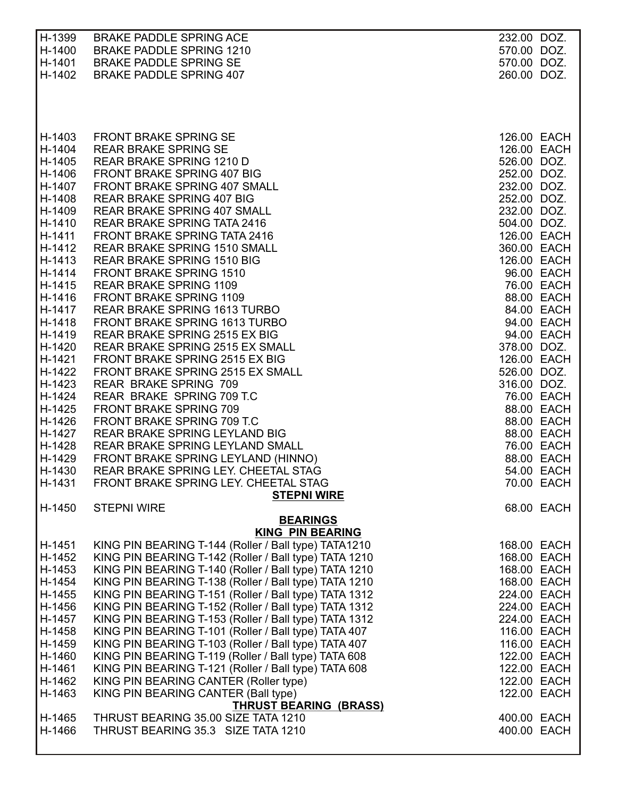| H-1399           | <b>BRAKE PADDLE SPRING ACE</b>                                                                                 | 232.00 DOZ.                |
|------------------|----------------------------------------------------------------------------------------------------------------|----------------------------|
| H-1400           | <b>BRAKE PADDLE SPRING 1210</b>                                                                                | 570.00 DOZ.                |
| H-1401           | <b>BRAKE PADDLE SPRING SE</b>                                                                                  | 570.00 DOZ.                |
| H-1402           | <b>BRAKE PADDLE SPRING 407</b>                                                                                 | 260.00 DOZ.                |
|                  |                                                                                                                |                            |
|                  |                                                                                                                |                            |
|                  |                                                                                                                |                            |
| H-1403           | <b>FRONT BRAKE SPRING SE</b>                                                                                   |                            |
| H-1404           | <b>REAR BRAKE SPRING SE</b>                                                                                    |                            |
| H-1405           | REAR BRAKE SPRING 1210 D                                                                                       |                            |
| H-1406           | FRONT BRAKE SPRING 407 BIG                                                                                     |                            |
| H-1407           | FRONT BRAKE SPRING 407 SMALL                                                                                   |                            |
| H-1408           | <b>REAR BRAKE SPRING 407 BIG</b>                                                                               |                            |
| H-1409<br>H-1410 | <b>REAR BRAKE SPRING 407 SMALL</b><br>REAR BRAKE SPRING TATA 2416                                              |                            |
| H-1411           | FRONT BRAKE SPRING TATA 2416                                                                                   |                            |
| H-1412           | <b>REAR BRAKE SPRING 1510 SMALL</b>                                                                            |                            |
| H-1413           | <b>REAR BRAKE SPRING 1510 BIG</b>                                                                              |                            |
| H-1414           | <b>FRONT BRAKE SPRING 1510</b>                                                                                 |                            |
| H-1415           | <b>REAR BRAKE SPRING 1109</b>                                                                                  |                            |
| H-1416           | <b>FRONT BRAKE SPRING 1109</b>                                                                                 |                            |
| H-1417           | <b>REAR BRAKE SPRING 1613 TURBO</b>                                                                            |                            |
| H-1418           | FRONT BRAKE SPRING 1613 TURBO                                                                                  |                            |
| H-1419           | REAR BRAKE SPRING 2515 EX BIG                                                                                  |                            |
| H-1420<br>H-1421 | REAR BRAKE SPRING 2515 EX SMALL<br>FRONT BRAKE SPRING 2515 EX BIG                                              |                            |
| H-1422           | FRONT BRAKE SPRING 2515 EX SMALL                                                                               |                            |
| H-1423           | <b>REAR BRAKE SPRING 709</b>                                                                                   |                            |
| H-1424           | REAR BRAKE SPRING 709 T.C                                                                                      |                            |
| H-1425           | <b>FRONT BRAKE SPRING 709</b>                                                                                  |                            |
| H-1426           | FRONT BRAKE SPRING 709 T.C                                                                                     |                            |
| H-1427           | REAR BRAKE SPRING LEYLAND BIG                                                                                  |                            |
| H-1428           | REAR BRAKE SPRING LEYLAND SMALL                                                                                |                            |
| H-1429           | FRONT BRAKE SPRING LEYLAND (HINNO)                                                                             |                            |
| H-1430<br>H-1431 | REAR BRAKE SPRING LEY. CHEETAL STAG<br>FRONT BRAKE SPRING LEY. CHEETAL STAG                                    |                            |
|                  | <b>STEPNI WIRE</b>                                                                                             |                            |
| H-1450           | <b>STEPNI WIRE</b>                                                                                             | 68.00 EACH                 |
|                  | <b>BEARINGS</b>                                                                                                |                            |
|                  | <b>KING PIN BEARING</b>                                                                                        |                            |
| H-1451           | KING PIN BEARING T-144 (Roller / Ball type) TATA1210                                                           | 168.00 EACH                |
| H-1452           | KING PIN BEARING T-142 (Roller / Ball type) TATA 1210                                                          | 168.00 EACH                |
| H-1453<br>H-1454 | KING PIN BEARING T-140 (Roller / Ball type) TATA 1210<br>KING PIN BEARING T-138 (Roller / Ball type) TATA 1210 | 168.00 EACH<br>168.00 EACH |
| H-1455           | KING PIN BEARING T-151 (Roller / Ball type) TATA 1312                                                          | 224.00 EACH                |
| H-1456           | KING PIN BEARING T-152 (Roller / Ball type) TATA 1312                                                          | 224.00 EACH                |
| H-1457           | KING PIN BEARING T-153 (Roller / Ball type) TATA 1312                                                          | 224.00 EACH                |
| H-1458           | KING PIN BEARING T-101 (Roller / Ball type) TATA 407                                                           | 116.00 EACH                |
| H-1459           | KING PIN BEARING T-103 (Roller / Ball type) TATA 407                                                           | 116.00 EACH                |
| H-1460           | KING PIN BEARING T-119 (Roller / Ball type) TATA 608                                                           | 122.00 EACH                |
| H-1461           | KING PIN BEARING T-121 (Roller / Ball type) TATA 608                                                           | 122.00 EACH                |
| H-1462           | KING PIN BEARING CANTER (Roller type)                                                                          | 122.00 EACH                |
| H-1463           | KING PIN BEARING CANTER (Ball type)                                                                            | 122.00 EACH                |
| H-1465           | <b>THRUST BEARING (BRASS)</b><br>THRUST BEARING 35.00 SIZE TATA 1210                                           | 400.00 EACH                |
| H-1466           | THRUST BEARING 35.3 SIZE TATA 1210                                                                             | 400.00 EACH                |
|                  |                                                                                                                |                            |